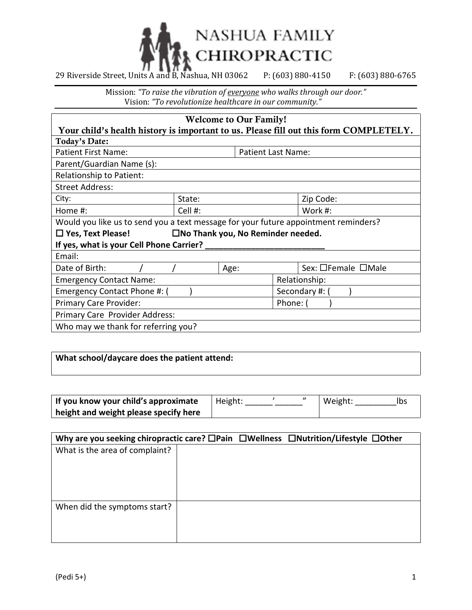

Mission: *"To raise the vibration of everyone who walks through our door."* Vision: *"To revolutionize healthcare in our community."*

| <b>Welcome to Our Family!</b>                                                       |                    |      |  |                                                                                       |
|-------------------------------------------------------------------------------------|--------------------|------|--|---------------------------------------------------------------------------------------|
|                                                                                     |                    |      |  | Your child's health history is important to us. Please fill out this form COMPLETELY. |
| Today's Date:                                                                       |                    |      |  |                                                                                       |
| <b>Patient First Name:</b><br><b>Patient Last Name:</b>                             |                    |      |  |                                                                                       |
| Parent/Guardian Name (s):                                                           |                    |      |  |                                                                                       |
| Relationship to Patient:                                                            |                    |      |  |                                                                                       |
| <b>Street Address:</b>                                                              |                    |      |  |                                                                                       |
| City:                                                                               | State:             |      |  | Zip Code:                                                                             |
| Home #:                                                                             | Cell #:<br>Work #: |      |  |                                                                                       |
| Would you like us to send you a text message for your future appointment reminders? |                    |      |  |                                                                                       |
| $\square$ No Thank you, No Reminder needed.<br>$\Box$ Yes, Text Please!             |                    |      |  |                                                                                       |
| If yes, what is your Cell Phone Carrier?                                            |                    |      |  |                                                                                       |
| Email:                                                                              |                    |      |  |                                                                                       |
| Date of Birth:                                                                      |                    | Age: |  | Sex: □Female □Male                                                                    |
| <b>Emergency Contact Name:</b><br>Relationship:                                     |                    |      |  |                                                                                       |
| Emergency Contact Phone #: (<br>Secondary #: (                                      |                    |      |  |                                                                                       |
| <b>Primary Care Provider:</b><br>Phone:                                             |                    |      |  |                                                                                       |
| Primary Care Provider Address:                                                      |                    |      |  |                                                                                       |
| Who may we thank for referring you?                                                 |                    |      |  |                                                                                       |

## **What school/daycare does the patient attend:**

| If you know your child's approximate  | Height: |  | Weight: |  |
|---------------------------------------|---------|--|---------|--|
| height and weight please specify here |         |  |         |  |

| Why are you seeking chiropractic care? $\square$ Pain $\square$ Wellness $\square$ Nutrition/Lifestyle $\square$ Other |  |  |
|------------------------------------------------------------------------------------------------------------------------|--|--|
| What is the area of complaint?                                                                                         |  |  |
|                                                                                                                        |  |  |
|                                                                                                                        |  |  |
|                                                                                                                        |  |  |
|                                                                                                                        |  |  |
| When did the symptoms start?                                                                                           |  |  |
|                                                                                                                        |  |  |
|                                                                                                                        |  |  |
|                                                                                                                        |  |  |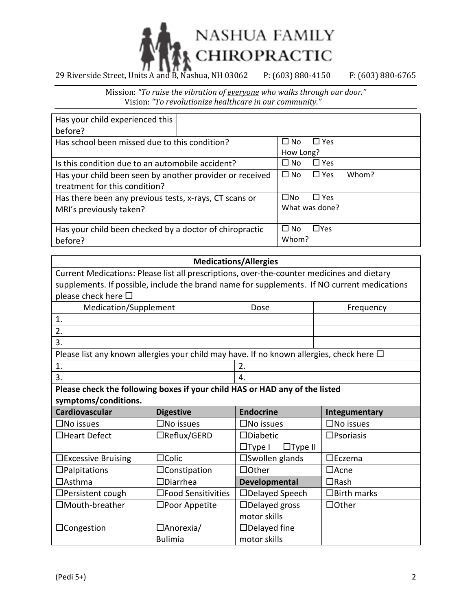

Mission: *"To raise the vibration of everyone who walks through our door."* Vision: *"To revolutionize healthcare in our community."*

| Has your child experienced this                          |  |                                  |
|----------------------------------------------------------|--|----------------------------------|
| before?                                                  |  |                                  |
| Has school been missed due to this condition?            |  | $\Box$ Yes<br>$\Box$ No          |
|                                                          |  | How Long?                        |
| Is this condition due to an automobile accident?         |  | $\Box$ Yes<br>$\Box$ No          |
| Has your child been seen by another provider or received |  | $\Box$ Yes<br>Whom?<br>$\Box$ No |
| treatment for this condition?                            |  |                                  |
| Has there been any previous tests, x-rays, CT scans or   |  | $\square$ No<br>$\Box$ Yes       |
| MRI's previously taken?                                  |  | What was done?                   |
|                                                          |  |                                  |
| Has your child been checked by a doctor of chiropractic  |  | $\Box$ Yes<br>$\Box$ No          |
| before?                                                  |  | Whom?                            |

## **Medications/Allergies**

| Current Medications: Please list all prescriptions, over-the-counter medicines and dietary    |  |      |           |  |
|-----------------------------------------------------------------------------------------------|--|------|-----------|--|
| supplements. If possible, include the brand name for supplements. If NO current medications   |  |      |           |  |
| please check here $\square$                                                                   |  |      |           |  |
| Medication/Supplement                                                                         |  | Dose | Frequency |  |
|                                                                                               |  |      |           |  |
| 2.                                                                                            |  |      |           |  |
| 3.                                                                                            |  |      |           |  |
| Please list any known allergies your child may have. If no known allergies, check here $\Box$ |  |      |           |  |
| 2.                                                                                            |  |      |           |  |
| 3.<br>4.                                                                                      |  |      |           |  |
| Please check the following boxes if your child HAS or HAD any of the listed                   |  |      |           |  |

**symptoms/conditions.**

| Cardiovascular               | <b>Digestive</b>        | <b>Endocrine</b>                | Integumentary       |
|------------------------------|-------------------------|---------------------------------|---------------------|
| $\square$ No issues          | $\square$ No issues     | $\square$ No issues             | $\square$ No issues |
| □Heart Defect                | □Reflux/GERD            | $\square$ Diabetic              | $\square$ Psoriasis |
|                              |                         | $\Box$ Type II<br>$\Box$ Type I |                     |
| $\square$ Excessive Bruising | $\Box$ Colic            | $\square$ Swollen glands        | $\Box$ Eczema       |
| $\Box$ Palpitations          | $\Box$ Constipation     | $\Box$ Other                    | $\Box$ Acne         |
| $\Box$ Asthma                | $\Box$ Diarrhea         | <b>Developmental</b>            | $\Box$ Rash         |
| □Persistent cough            | □Food Sensitivities     | □Delayed Speech                 | $\Box$ Birth marks  |
| □Mouth-breather              | $\square$ Poor Appetite | $\Box$ Delayed gross            | $\Box$ Other        |
|                              |                         | motor skills                    |                     |
| $\Box$ Congestion            | $\Box$ Anorexia/        | $\Box$ Delayed fine             |                     |
|                              | <b>Bulimia</b>          | motor skills                    |                     |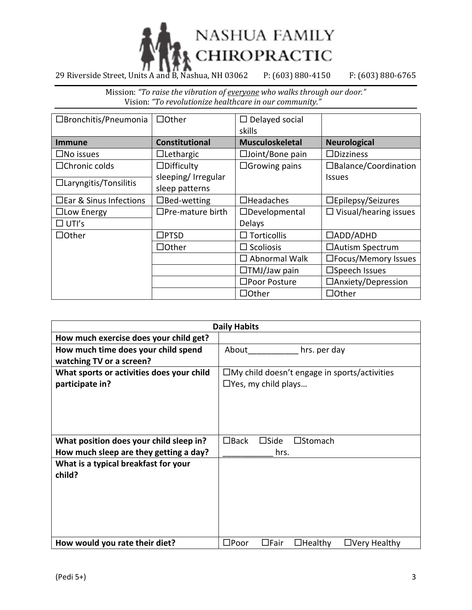

Mission: *"To raise the vibration of everyone who walks through our door."* Vision: *"To revolutionize healthcare in our community."*

| □Bronchitis/Pneumonia        | $\Box$ Other            | $\Box$ Delayed social     |                              |
|------------------------------|-------------------------|---------------------------|------------------------------|
|                              |                         | skills                    |                              |
| <b>Immune</b>                | <b>Constitutional</b>   | <b>Musculoskeletal</b>    | <b>Neurological</b>          |
| $\square$ No issues          | $\Box$ Lethargic        | $\square$ Joint/Bone pain | $\Box$ Dizziness             |
| $\Box$ Chronic colds         | $\Box$ Difficulty       | $\Box$ Growing pains      | □Balance/Coordination        |
|                              | sleeping/ Irregular     |                           | <b>Issues</b>                |
| $\Box$ Laryngitis/Tonsilitis | sleep patterns          |                           |                              |
| □ Ear & Sinus Infections     | $\Box$ Bed-wetting      | $\Box$ Headaches          | $\square$ Epilepsy/Seizures  |
| $\Box$ Low Energy            | $\Box$ Pre-mature birth | $\Box$ Developmental      | $\Box$ Visual/hearing issues |
| $\Box$ UTI's                 |                         | Delays                    |                              |
| $\Box$ Other                 | $\Box$ PTSD             | $\Box$ Torticollis        | $\Box$ ADD/ADHD              |
|                              | $\Box$ Other            | $\Box$ Scoliosis          | □Autism Spectrum             |
|                              |                         | $\Box$ Abnormal Walk      | □Focus/Memory Issues         |
|                              |                         | $\Box$ TMJ/Jaw pain       | $\square$ Speech Issues      |
|                              |                         | □Poor Posture             | □Anxiety/Depression          |
|                              |                         | $\Box$ Other              | $\Box$ Other                 |

| <b>Daily Habits</b>                       |                                                                        |  |  |
|-------------------------------------------|------------------------------------------------------------------------|--|--|
| How much exercise does your child get?    |                                                                        |  |  |
| How much time does your child spend       | About<br>hrs. per day                                                  |  |  |
| watching TV or a screen?                  |                                                                        |  |  |
| What sports or activities does your child | $\square$ My child doesn't engage in sports/activities                 |  |  |
| participate in?                           | $\Box$ Yes, my child plays                                             |  |  |
|                                           |                                                                        |  |  |
|                                           |                                                                        |  |  |
|                                           |                                                                        |  |  |
|                                           |                                                                        |  |  |
| What position does your child sleep in?   | $\Box$ Back<br>$\square$ Side<br>$\square$ Stomach                     |  |  |
| How much sleep are they getting a day?    | hrs.                                                                   |  |  |
| What is a typical breakfast for your      |                                                                        |  |  |
| child?                                    |                                                                        |  |  |
|                                           |                                                                        |  |  |
|                                           |                                                                        |  |  |
|                                           |                                                                        |  |  |
|                                           |                                                                        |  |  |
|                                           |                                                                        |  |  |
| How would you rate their diet?            | $\square$ Poor<br>$\Box$ Fair<br>$\Box$ Healthy<br>$\Box$ Very Healthy |  |  |